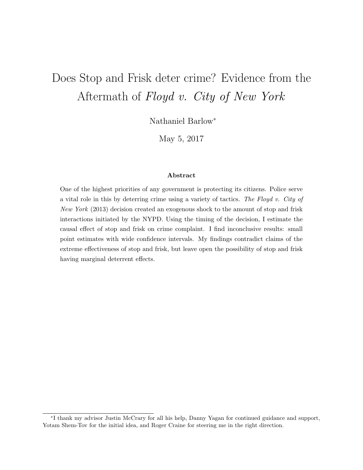# Does Stop and Frisk deter crime? Evidence from the Aftermath of Floyd v. City of New York

Nathaniel Barlow<sup>∗</sup>

May 5, 2017

#### Abstract

One of the highest priorities of any government is protecting its citizens. Police serve a vital role in this by deterring crime using a variety of tactics. The Floyd v. City of New York (2013) decision created an exogenous shock to the amount of stop and frisk interactions initiated by the NYPD. Using the timing of the decision, I estimate the causal effect of stop and frisk on crime complaint. I find inconclusive results: small point estimates with wide confidence intervals. My findings contradict claims of the extreme effectiveness of stop and frisk, but leave open the possibility of stop and frisk having marginal deterrent effects.

<sup>∗</sup> I thank my advisor Justin McCrary for all his help, Danny Yagan for continued guidance and support, Yotam Shem-Tov for the initial idea, and Roger Craine for steering me in the right direction.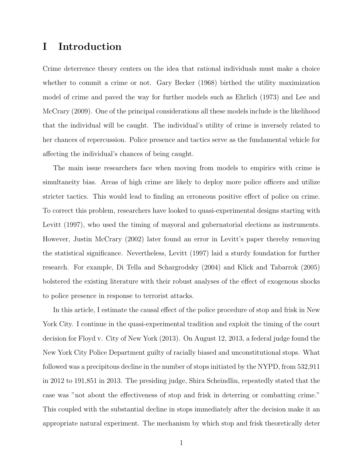## I Introduction

Crime deterrence theory centers on the idea that rational individuals must make a choice whether to commit a crime or not. Gary Becker (1968) birthed the utility maximization model of crime and paved the way for further models such as Ehrlich (1973) and Lee and McCrary (2009). One of the principal considerations all these models include is the likelihood that the individual will be caught. The individual's utility of crime is inversely related to her chances of repercussion. Police presence and tactics serve as the fundamental vehicle for affecting the individual's chances of being caught.

The main issue researchers face when moving from models to empirics with crime is simultaneity bias. Areas of high crime are likely to deploy more police officers and utilize stricter tactics. This would lead to finding an erroneous positive effect of police on crime. To correct this problem, researchers have looked to quasi-experimental designs starting with Levitt (1997), who used the timing of mayoral and gubernatorial elections as instruments. However, Justin McCrary (2002) later found an error in Levitt's paper thereby removing the statistical significance. Nevertheless, Levitt (1997) laid a sturdy foundation for further research. For example, Di Tella and Schargrodsky (2004) and Klick and Tabarrok (2005) bolstered the existing literature with their robust analyses of the effect of exogenous shocks to police presence in response to terrorist attacks.

In this article, I estimate the causal effect of the police procedure of stop and frisk in New York City. I continue in the quasi-experimental tradition and exploit the timing of the court decision for Floyd v. City of New York (2013). On August 12, 2013, a federal judge found the New York City Police Department guilty of racially biased and unconstitutional stops. What followed was a precipitous decline in the number of stops initiated by the NYPD, from 532,911 in 2012 to 191,851 in 2013. The presiding judge, Shira Scheindlin, repeatedly stated that the case was "not about the effectiveness of stop and frisk in deterring or combatting crime." This coupled with the substantial decline in stops immediately after the decision make it an appropriate natural experiment. The mechanism by which stop and frisk theoretically deter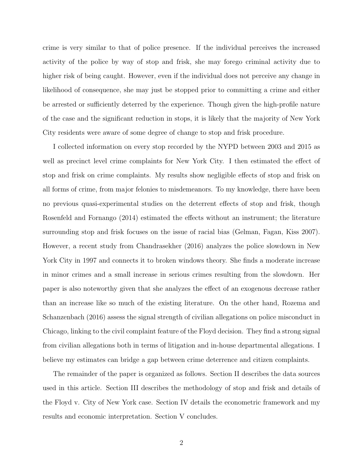crime is very similar to that of police presence. If the individual perceives the increased activity of the police by way of stop and frisk, she may forego criminal activity due to higher risk of being caught. However, even if the individual does not perceive any change in likelihood of consequence, she may just be stopped prior to committing a crime and either be arrested or sufficiently deterred by the experience. Though given the high-profile nature of the case and the significant reduction in stops, it is likely that the majority of New York City residents were aware of some degree of change to stop and frisk procedure.

I collected information on every stop recorded by the NYPD between 2003 and 2015 as well as precinct level crime complaints for New York City. I then estimated the effect of stop and frisk on crime complaints. My results show negligible effects of stop and frisk on all forms of crime, from major felonies to misdemeanors. To my knowledge, there have been no previous quasi-experimental studies on the deterrent effects of stop and frisk, though Rosenfeld and Fornango (2014) estimated the effects without an instrument; the literature surrounding stop and frisk focuses on the issue of racial bias (Gelman, Fagan, Kiss 2007). However, a recent study from Chandrasekher (2016) analyzes the police slowdown in New York City in 1997 and connects it to broken windows theory. She finds a moderate increase in minor crimes and a small increase in serious crimes resulting from the slowdown. Her paper is also noteworthy given that she analyzes the effect of an exogenous decrease rather than an increase like so much of the existing literature. On the other hand, Rozema and Schanzenbach (2016) assess the signal strength of civilian allegations on police misconduct in Chicago, linking to the civil complaint feature of the Floyd decision. They find a strong signal from civilian allegations both in terms of litigation and in-house departmental allegations. I believe my estimates can bridge a gap between crime deterrence and citizen complaints.

The remainder of the paper is organized as follows. Section II describes the data sources used in this article. Section III describes the methodology of stop and frisk and details of the Floyd v. City of New York case. Section IV details the econometric framework and my results and economic interpretation. Section V concludes.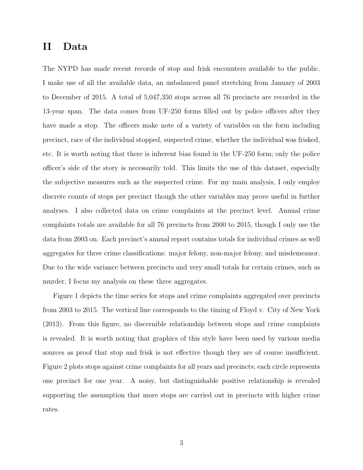## II Data

The NYPD has made recent records of stop and frisk encounters available to the public. I make use of all the available data, an unbalanced panel stretching from January of 2003 to December of 2015. A total of 5,047,350 stops across all 76 precincts are recorded in the 13-year span. The data comes from UF-250 forms filled out by police officers after they have made a stop. The officers make note of a variety of variables on the form including precinct, race of the individual stopped, suspected crime, whether the individual was frisked, etc. It is worth noting that there is inherent bias found in the UF-250 form; only the police officer's side of the story is necessarily told. This limits the use of this dataset, especially the subjective measures such as the suspected crime. For my main analysis, I only employ discrete counts of stops per precinct though the other variables may prove useful in further analyses. I also collected data on crime complaints at the precinct level. Annual crime complaints totals are available for all 76 precincts from 2000 to 2015, though I only use the data from 2003 on. Each precinct's annual report contains totals for individual crimes as well aggregates for three crime classifications: major felony, non-major felony, and misdemeanor. Due to the wide variance between precincts and very small totals for certain crimes, such as murder, I focus my analysis on these three aggregates.

Figure 1 depicts the time series for stops and crime complaints aggregated over precincts from 2003 to 2015. The vertical line corresponds to the timing of Floyd v. City of New York (2013). From this figure, no discernible relationship between stops and crime complaints is revealed. It is worth noting that graphics of this style have been used by various media sources as proof that stop and frisk is not effective though they are of course insufficient. Figure 2 plots stops against crime complaints for all years and precincts; each circle represents one precinct for one year. A noisy, but distinguishable positive relationship is revealed supporting the assumption that more stops are carried out in precincts with higher crime rates.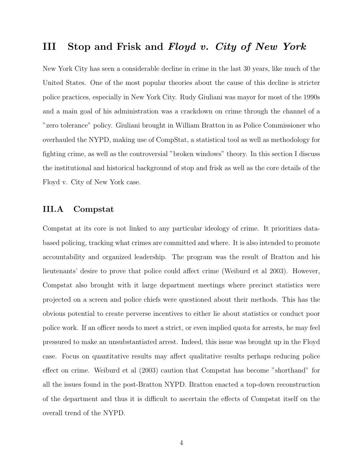## III Stop and Frisk and Floyd v. City of New York

New York City has seen a considerable decline in crime in the last 30 years, like much of the United States. One of the most popular theories about the cause of this decline is stricter police practices, especially in New York City. Rudy Giuliani was mayor for most of the 1990s and a main goal of his administration was a crackdown on crime through the channel of a "zero tolerance" policy. Giuliani brought in William Bratton in as Police Commissioner who overhauled the NYPD, making use of CompStat, a statistical tool as well as methodology for fighting crime, as well as the controversial "broken windows" theory. In this section I discuss the institutional and historical background of stop and frisk as well as the core details of the Floyd v. City of New York case.

#### III.A Compstat

Compstat at its core is not linked to any particular ideology of crime. It prioritizes databased policing, tracking what crimes are committed and where. It is also intended to promote accountability and organized leadership. The program was the result of Bratton and his lieutenants' desire to prove that police could affect crime (Weiburd et al 2003). However, Compstat also brought with it large department meetings where precinct statistics were projected on a screen and police chiefs were questioned about their methods. This has the obvious potential to create perverse incentives to either lie about statistics or conduct poor police work. If an officer needs to meet a strict, or even implied quota for arrests, he may feel pressured to make an unsubstantiated arrest. Indeed, this issue was brought up in the Floyd case. Focus on quantitative results may affect qualitative results perhaps reducing police effect on crime. Weiburd et al (2003) caution that Compstat has become "shorthand" for all the issues found in the post-Bratton NYPD. Bratton enacted a top-down reconstruction of the department and thus it is difficult to ascertain the effects of Compstat itself on the overall trend of the NYPD.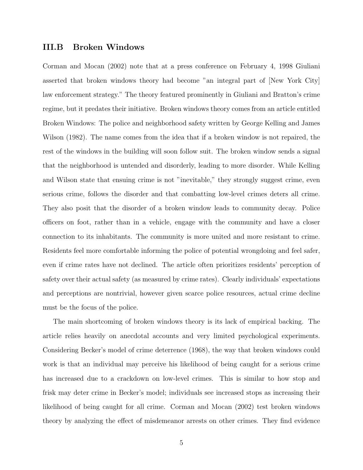#### III.B Broken Windows

Corman and Mocan (2002) note that at a press conference on February 4, 1998 Giuliani asserted that broken windows theory had become "an integral part of [New York City] law enforcement strategy." The theory featured prominently in Giuliani and Bratton's crime regime, but it predates their initiative. Broken windows theory comes from an article entitled Broken Windows: The police and neighborhood safety written by George Kelling and James Wilson (1982). The name comes from the idea that if a broken window is not repaired, the rest of the windows in the building will soon follow suit. The broken window sends a signal that the neighborhood is untended and disorderly, leading to more disorder. While Kelling and Wilson state that ensuing crime is not "inevitable," they strongly suggest crime, even serious crime, follows the disorder and that combatting low-level crimes deters all crime. They also posit that the disorder of a broken window leads to community decay. Police officers on foot, rather than in a vehicle, engage with the community and have a closer connection to its inhabitants. The community is more united and more resistant to crime. Residents feel more comfortable informing the police of potential wrongdoing and feel safer, even if crime rates have not declined. The article often prioritizes residents' perception of safety over their actual safety (as measured by crime rates). Clearly individuals' expectations and perceptions are nontrivial, however given scarce police resources, actual crime decline must be the focus of the police.

The main shortcoming of broken windows theory is its lack of empirical backing. The article relies heavily on anecdotal accounts and very limited psychological experiments. Considering Becker's model of crime deterrence (1968), the way that broken windows could work is that an individual may perceive his likelihood of being caught for a serious crime has increased due to a crackdown on low-level crimes. This is similar to how stop and frisk may deter crime in Becker's model; individuals see increased stops as increasing their likelihood of being caught for all crime. Corman and Mocan (2002) test broken windows theory by analyzing the effect of misdemeanor arrests on other crimes. They find evidence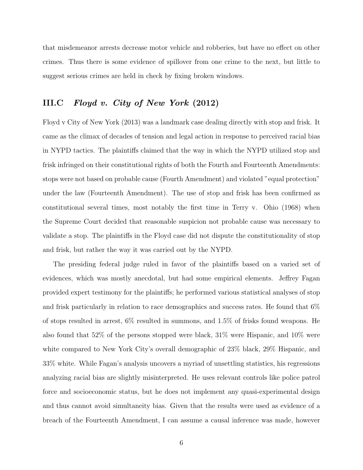that misdemeanor arrests decrease motor vehicle and robberies, but have no effect on other crimes. Thus there is some evidence of spillover from one crime to the next, but little to suggest serious crimes are held in check by fixing broken windows.

## III.C Floyd v. City of New York (2012)

Floyd v City of New York (2013) was a landmark case dealing directly with stop and frisk. It came as the climax of decades of tension and legal action in response to perceived racial bias in NYPD tactics. The plaintiffs claimed that the way in which the NYPD utilized stop and frisk infringed on their constitutional rights of both the Fourth and Fourteenth Amendments: stops were not based on probable cause (Fourth Amendment) and violated "equal protection" under the law (Fourteenth Amendment). The use of stop and frisk has been confirmed as constitutional several times, most notably the first time in Terry v. Ohio (1968) when the Supreme Court decided that reasonable suspicion not probable cause was necessary to validate a stop. The plaintiffs in the Floyd case did not dispute the constitutionality of stop and frisk, but rather the way it was carried out by the NYPD.

The presiding federal judge ruled in favor of the plaintiffs based on a varied set of evidences, which was mostly anecdotal, but had some empirical elements. Jeffrey Fagan provided expert testimony for the plaintiffs; he performed various statistical analyses of stop and frisk particularly in relation to race demographics and success rates. He found that 6% of stops resulted in arrest, 6% resulted in summons, and 1.5% of frisks found weapons. He also found that 52% of the persons stopped were black, 31% were Hispanic, and 10% were white compared to New York City's overall demographic of 23% black, 29% Hispanic, and 33% white. While Fagan's analysis uncovers a myriad of unsettling statistics, his regressions analyzing racial bias are slightly misinterpreted. He uses relevant controls like police patrol force and socioeconomic status, but he does not implement any quasi-experimental design and thus cannot avoid simultaneity bias. Given that the results were used as evidence of a breach of the Fourteenth Amendment, I can assume a causal inference was made, however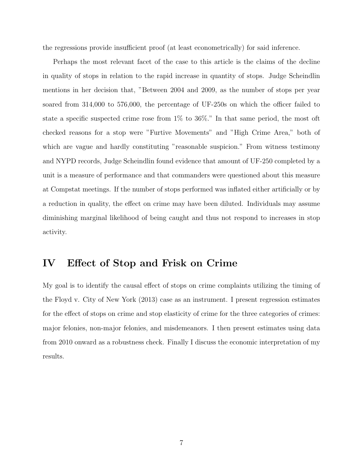the regressions provide insufficient proof (at least econometrically) for said inference.

Perhaps the most relevant facet of the case to this article is the claims of the decline in quality of stops in relation to the rapid increase in quantity of stops. Judge Scheindlin mentions in her decision that, "Between 2004 and 2009, as the number of stops per year soared from 314,000 to 576,000, the percentage of UF-250s on which the officer failed to state a specific suspected crime rose from 1% to 36%." In that same period, the most oft checked reasons for a stop were "Furtive Movements" and "High Crime Area," both of which are vague and hardly constituting "reasonable suspicion." From witness testimony and NYPD records, Judge Scheindlin found evidence that amount of UF-250 completed by a unit is a measure of performance and that commanders were questioned about this measure at Compstat meetings. If the number of stops performed was inflated either artificially or by a reduction in quality, the effect on crime may have been diluted. Individuals may assume diminishing marginal likelihood of being caught and thus not respond to increases in stop activity.

## IV Effect of Stop and Frisk on Crime

My goal is to identify the causal effect of stops on crime complaints utilizing the timing of the Floyd v. City of New York (2013) case as an instrument. I present regression estimates for the effect of stops on crime and stop elasticity of crime for the three categories of crimes: major felonies, non-major felonies, and misdemeanors. I then present estimates using data from 2010 onward as a robustness check. Finally I discuss the economic interpretation of my results.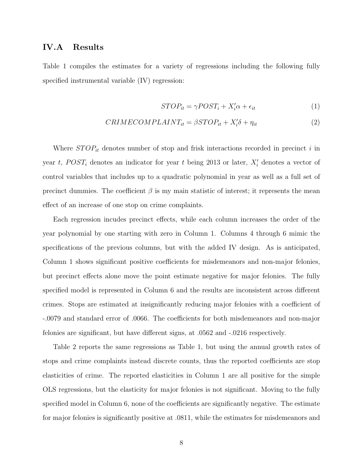#### IV.A Results

Table 1 compiles the estimates for a variety of regressions including the following fully specified instrumental variable (IV) regression:

$$
STOP_{it} = \gamma POST_i + X_i' \alpha + \epsilon_{it} \tag{1}
$$

$$
CRIMECOMPLAINT_{it} = \beta STOP_{it} + X_i' \delta + \eta_{it}
$$
\n(2)

Where  $STOP_{it}$  denotes number of stop and frisk interactions recorded in precinct i in year t,  $POST_i$  denotes an indicator for year t being 2013 or later,  $X_i'$  denotes a vector of control variables that includes up to a quadratic polynomial in year as well as a full set of precinct dummies. The coefficient  $\beta$  is my main statistic of interest; it represents the mean effect of an increase of one stop on crime complaints.

Each regression incudes precinct effects, while each column increases the order of the year polynomial by one starting with zero in Column 1. Columns 4 through 6 mimic the specifications of the previous columns, but with the added IV design. As is anticipated, Column 1 shows significant positive coefficients for misdemeanors and non-major felonies, but precinct effects alone move the point estimate negative for major felonies. The fully specified model is represented in Column 6 and the results are inconsistent across different crimes. Stops are estimated at insignificantly reducing major felonies with a coefficient of -.0079 and standard error of .0066. The coefficients for both misdemeanors and non-major felonies are significant, but have different signs, at .0562 and -.0216 respectively.

Table 2 reports the same regressions as Table 1, but using the annual growth rates of stops and crime complaints instead discrete counts, thus the reported coefficients are stop elasticities of crime. The reported elasticities in Column 1 are all positive for the simple OLS regressions, but the elasticity for major felonies is not significant. Moving to the fully specified model in Column 6, none of the coefficients are significantly negative. The estimate for major felonies is significantly positive at .0811, while the estimates for misdemeanors and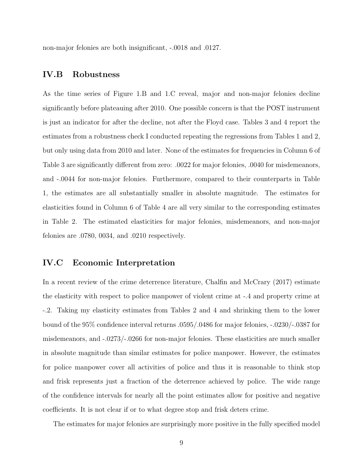non-major felonies are both insignificant, -.0018 and .0127.

#### IV.B Robustness

As the time series of Figure 1.B and 1.C reveal, major and non-major felonies decline significantly before plateauing after 2010. One possible concern is that the POST instrument is just an indicator for after the decline, not after the Floyd case. Tables 3 and 4 report the estimates from a robustness check I conducted repeating the regressions from Tables 1 and 2, but only using data from 2010 and later. None of the estimates for frequencies in Column 6 of Table 3 are significantly different from zero: .0022 for major felonies, .0040 for misdemeanors, and -.0044 for non-major felonies. Furthermore, compared to their counterparts in Table 1, the estimates are all substantially smaller in absolute magnitude. The estimates for elasticities found in Column 6 of Table 4 are all very similar to the corresponding estimates in Table 2. The estimated elasticities for major felonies, misdemeanors, and non-major felonies are .0780, 0034, and .0210 respectively.

#### IV.C Economic Interpretation

In a recent review of the crime deterrence literature, Chalfin and McCrary (2017) estimate the elasticity with respect to police manpower of violent crime at -.4 and property crime at -.2. Taking my elasticity estimates from Tables 2 and 4 and shrinking them to the lower bound of the 95% confidence interval returns .0595/.0486 for major felonies, -.0230/-.0387 for misdemeanors, and -.0273/-.0266 for non-major felonies. These elasticities are much smaller in absolute magnitude than similar estimates for police manpower. However, the estimates for police manpower cover all activities of police and thus it is reasonable to think stop and frisk represents just a fraction of the deterrence achieved by police. The wide range of the confidence intervals for nearly all the point estimates allow for positive and negative coefficients. It is not clear if or to what degree stop and frisk deters crime.

The estimates for major felonies are surprisingly more positive in the fully specified model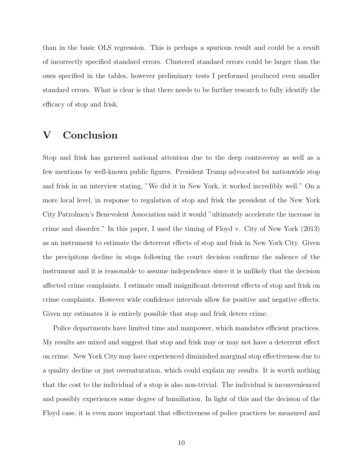than in the basic OLS regression. This is perhaps a spurious result and could be a result of incorrectly specified standard errors. Clustered standard errors could be larger than the ones specified in the tables, however preliminary tests I performed produced even smaller standard errors. What is clear is that there needs to be further research to fully identify the efficacy of stop and frisk.

## V Conclusion

Stop and frisk has garnered national attention due to the deep controversy as well as a few mentions by well-known public figures. President Trump advocated for nationwide stop and frisk in an interview stating, "We did it in New York, it worked incredibly well." On a more local level, in response to regulation of stop and frisk the president of the New York City Patrolmen's Benevolent Association said it would "ultimately accelerate the increase in crime and disorder." In this paper, I used the timing of Floyd v. City of New York (2013) as an instrument to estimate the deterrent effects of stop and frisk in New York City. Given the precipitous decline in stops following the court decision confirms the salience of the instrument and it is reasonable to assume independence since it is unlikely that the decision affected crime complaints. I estimate small insignificant deterrent effects of stop and frisk on crime complaints. However wide confidence intervals allow for positive and negative effects. Given my estimates it is entirely possible that stop and frisk deters crime.

Police departments have limited time and manpower, which mandates efficient practices. My results are mixed and suggest that stop and frisk may or may not have a deterrent effect on crime. New York City may have experienced diminished marginal stop effectiveness due to a quality decline or just oversaturation, which could explain my results. It is worth nothing that the cost to the individual of a stop is also non-trivial. The individual is inconvenienced and possibly experiences some degree of humiliation. In light of this and the decision of the Floyd case, it is even more important that effectiveness of police practices be measured and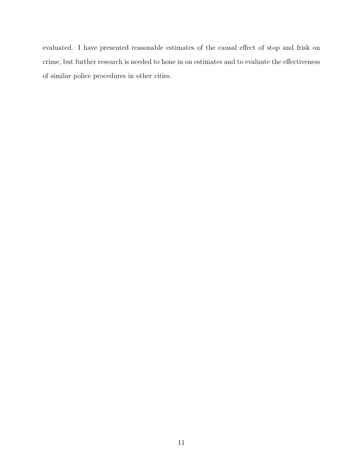evaluated. I have presented reasonable estimates of the causal effect of stop and frisk on crime, but further research is needed to hone in on estimates and to evaluate the effectiveness of similar police procedures in other cities.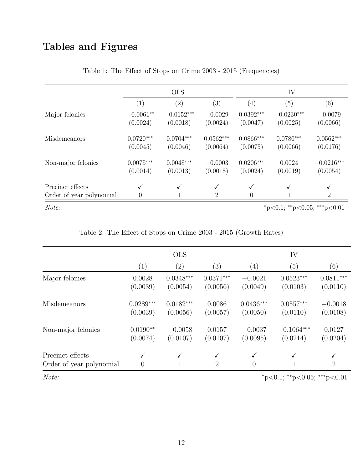## Tables and Figures

|                                              | <b>OLS</b>                  |                          |                         | IV                      |                          |                                |
|----------------------------------------------|-----------------------------|--------------------------|-------------------------|-------------------------|--------------------------|--------------------------------|
|                                              | $\left( 1\right)$           | $\left( 2\right)$        | (3)                     | $\left( 4\right)$       | (5)                      | (6)                            |
| Major felonies                               | $-0.0061**$<br>(0.0024)     | $-0.0152***$<br>(0.0018) | $-0.0029$<br>(0.0024)   | $0.0392***$<br>(0.0047) | $-0.0230***$<br>(0.0025) | $-0.0079$<br>(0.0066)          |
| Misdemeanors                                 | $0.0720***$<br>(0.0045)     | $0.0704***$<br>(0.0046)  | $0.0562***$<br>(0.0064) | $0.0866***$<br>(0.0075) | $0.0780***$<br>(0.0066)  | $0.0562***$<br>(0.0176)        |
| Non-major felonies                           | $0.0075***$<br>(0.0014)     | $0.0048***$<br>(0.0013)  | $-0.0003$<br>(0.0018)   | $0.0206***$<br>(0.0024) | 0.0024<br>(0.0019)       | $-0.0216***$<br>(0.0054)       |
| Precinct effects<br>Order of year polynomial |                             | ✓                        | √<br>$\overline{2}$     | 0                       |                          | $\checkmark$<br>$\overline{2}$ |
| Note:                                        | *p<0.1; **p<0.05; ***p<0.01 |                          |                         |                         |                          |                                |

Table 1: The Effect of Stops on Crime 2003 - 2015 (Frequencies)

| Table 2: The Effect of Stops on Crime 2003 - 2015 (Growth Rates) |  |  |
|------------------------------------------------------------------|--|--|
|------------------------------------------------------------------|--|--|

|                                              | <b>OLS</b>          |                   |                     | IV                |              |                     |
|----------------------------------------------|---------------------|-------------------|---------------------|-------------------|--------------|---------------------|
|                                              | $\left(1\right)$    | $\left( 2\right)$ | (3)                 | $\left( 4\right)$ | (5)          | (6)                 |
| Major felonies                               | 0.0028              | $0.0348***$       | $0.0371***$         | $-0.0021$         | $0.0523***$  | $0.0811***$         |
|                                              | (0.0039)            | (0.0054)          | (0.0056)            | (0.0049)          | (0.0103)     | (0.0110)            |
| Misdemeanors                                 | $0.0289***$         | $0.0182***$       | 0.0086              | $0.0436***$       | $0.0557***$  | $-0.0018$           |
|                                              | (0.0039)            | (0.0056)          | (0.0057)            | (0.0050)          | (0.0110)     | (0.0108)            |
| Non-major felonies                           | $0.0190**$          | $-0.0058$         | 0.0157              | $-0.0037$         | $-0.1064***$ | 0.0127              |
|                                              | (0.0074)            | (0.0107)          | (0.0107)            | (0.0095)          | (0.0214)     | (0.0204)            |
| Precinct effects<br>Order of year polynomial | ✓<br>$\overline{0}$ |                   | ✓<br>$\overline{2}$ | $\Omega$          |              | ✓<br>$\overline{2}$ |

 $Note:$   $*_{p<0.1; *_{p<0.05; **_{p<0.01}}$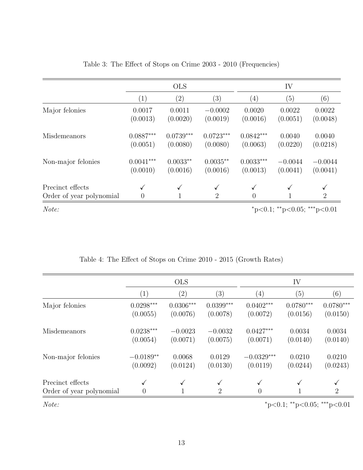|                                              | <b>OLS</b>                  |                              |                                | IV                             |                       |                       |
|----------------------------------------------|-----------------------------|------------------------------|--------------------------------|--------------------------------|-----------------------|-----------------------|
|                                              | (1)                         | $\left( 2\right)$            | (3)                            | (4)                            | (5)                   | (6)                   |
| Major felonies                               | 0.0017<br>(0.0013)          | 0.0011<br>(0.0020)           | $-0.0002$<br>(0.0019)          | 0.0020<br>(0.0016)             | 0.0022<br>(0.0051)    | 0.0022<br>(0.0048)    |
| Misdemeanors                                 | $0.0887***$<br>(0.0051)     | $0.0739***$<br>(0.0080)      | $0.0723***$<br>(0.0080)        | $0.0842***$<br>(0.0063)        | 0.0040<br>(0.0220)    | 0.0040<br>(0.0218)    |
| Non-major felonies                           | $0.0041***$<br>(0.0010)     | $0.0033**$<br>(0.0016)       | $0.0035**$<br>(0.0016)         | $0.0033***$<br>(0.0013)        | $-0.0044$<br>(0.0041) | $-0.0044$<br>(0.0041) |
| Precinct effects<br>Order of year polynomial | $\checkmark$<br>0           | $\checkmark$<br>$\mathbf{1}$ | $\checkmark$<br>$\overline{2}$ | $\checkmark$<br>$\overline{0}$ | $\checkmark$          | $\overline{2}$        |
| Note:                                        | *p<0.1; **p<0.05; ***p<0.01 |                              |                                |                                |                       |                       |

#### Table 3: The Effect of Stops on Crime 2003 - 2010 (Frequencies)

|                                              | <b>OLS</b>                  |                         |                         | IV                       |                         |                         |
|----------------------------------------------|-----------------------------|-------------------------|-------------------------|--------------------------|-------------------------|-------------------------|
|                                              | $\left( 1\right)$           | $\left( 2\right)$       | (3)                     | $\left( 4\right)$        | (5)                     | (6)                     |
| Major felonies                               | $0.0298***$<br>(0.0055)     | $0.0306***$<br>(0.0076) | $0.0399***$<br>(0.0078) | $0.0402***$<br>(0.0072)  | $0.0780***$<br>(0.0156) | $0.0780***$<br>(0.0150) |
| Misdemeanors                                 | $0.0238***$<br>(0.0054)     | $-0.0023$<br>(0.0071)   | $-0.0032$<br>(0.0075)   | $0.0427***$<br>(0.0071)  | 0.0034<br>(0.0140)      | 0.0034<br>(0.0140)      |
| Non-major felonies                           | $-0.0189**$<br>(0.0092)     | 0.0068<br>(0.0124)      | 0.0129<br>(0.0130)      | $-0.0329***$<br>(0.0119) | 0.0210<br>(0.0244)      | 0.0210<br>(0.0243)      |
| Precinct effects<br>Order of year polynomial | ✓<br>$\overline{0}$         |                         | √<br>$\overline{2}$     | 0                        |                         | $\overline{2}$          |
| Note:                                        | *p<0.1; **p<0.05; ***p<0.01 |                         |                         |                          |                         |                         |

## Table 4: The Effect of Stops on Crime 2010 - 2015 (Growth Rates)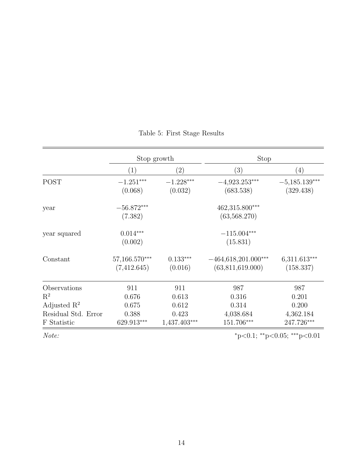|                         | Stop growth     |                   | Stop                  |                 |  |
|-------------------------|-----------------|-------------------|-----------------------|-----------------|--|
|                         | (1)             | $\left( 2\right)$ | (3)                   | (4)             |  |
| <b>POST</b>             | $-1.251***$     | $-1.228***$       | $-4,923.253***$       | $-5,185.139***$ |  |
|                         | (0.068)         | (0.032)           | (683.538)             | (329.438)       |  |
| year                    | $-56.872***$    |                   | $462,315.800***$      |                 |  |
|                         | (7.382)         |                   | (63,568.270)          |                 |  |
| year squared            | $0.014***$      |                   | $-115.004***$         |                 |  |
|                         | (0.002)         |                   | (15.831)              |                 |  |
| Constant                | $57,166.570***$ | $0.133***$        | $-464,618,201.000***$ | $6,311.613***$  |  |
|                         | (7,412.645)     | (0.016)           | (63, 811, 619.000)    | (158.337)       |  |
| Observations            | 911             | 911               | 987                   | 987             |  |
| $\mathrm{R}^2$          | 0.676           | 0.613             | 0.316                 | 0.201           |  |
| Adjusted $\mathbb{R}^2$ | 0.675           | 0.612             | 0.314                 | 0.200           |  |
| Residual Std. Error     | 0.388           | 0.423             | 4,038.684             | 4,362.184       |  |
| F Statistic             | $629.913***$    | $1,437.403***$    | 151.706***            | 247.726***      |  |

## Table 5: First Stage Results

 $Note:$   $*_{p<0.1; *_{p<0.05; **_{p<0.01}}$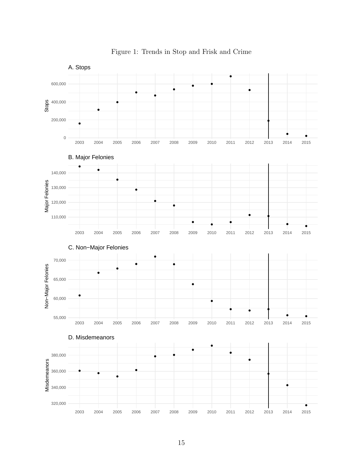

Figure 1: Trends in Stop and Frisk and Crime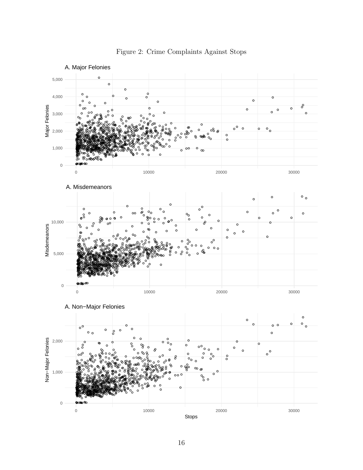

Figure 2: Crime Complaints Against Stops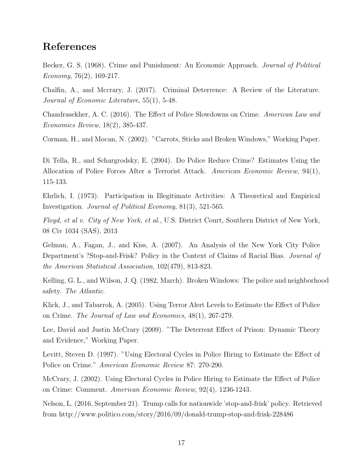## References

Becker, G. S. (1968). Crime and Punishment: An Economic Approach. Journal of Political Economy, 76(2), 169-217.

Chalfin, A., and Mccrary, J. (2017). Criminal Deterrence: A Review of the Literature. Journal of Economic Literature, 55(1), 5-48.

Chandrasekher, A. C. (2016). The Effect of Police Slowdowns on Crime. American Law and Economics Review, 18(2), 385-437.

Corman, H., and Mocan, N. (2002). "Carrots, Sticks and Broken Windows," Working Paper.

Di Tella, R., and Schargrodsky, E. (2004). Do Police Reduce Crime? Estimates Using the Allocation of Police Forces After a Terrorist Attack. American Economic Review, 94(1), 115-133.

Ehrlich, I. (1973). Participation in Illegitimate Activities: A Theoretical and Empirical Investigation. Journal of Political Economy, 81(3), 521-565.

Floyd, et al v. City of New York, et al., U.S. District Court, Southern District of New York, 08 Civ 1034 (SAS), 2013

Gelman, A., Fagan, J., and Kiss, A. (2007). An Analysis of the New York City Police Department's ?Stop-and-Frisk? Policy in the Context of Claims of Racial Bias. Journal of the American Statistical Association, 102(479), 813-823.

Kelling, G. L., and Wilson, J. Q. (1982, March). Broken Windows: The police and neighborhood safety. The Atlantic.

Klick, J., and Tabarrok, A. (2005). Using Terror Alert Levels to Estimate the Effect of Police on Crime. The Journal of Law and Economics, 48(1), 267-279.

Lee, David and Justin McCrary (2009). "The Deterrent Effect of Prison: Dynamic Theory and Evidence," Working Paper.

Levitt, Steven D. (1997). "Using Electoral Cycles in Police Hiring to Estimate the Effect of Police on Crime." American Economic Review 87: 270-290.

McCrary, J. (2002). Using Electoral Cycles in Police Hiring to Estimate the Effect of Police on Crime: Comment. American Economic Review, 92(4), 1236-1243.

Nelson, L. (2016, September 21). Trump calls for nationwide 'stop-and-frisk' policy. Retrieved from http://www.politico.com/story/2016/09/donald-trump-stop-and-frisk-228486